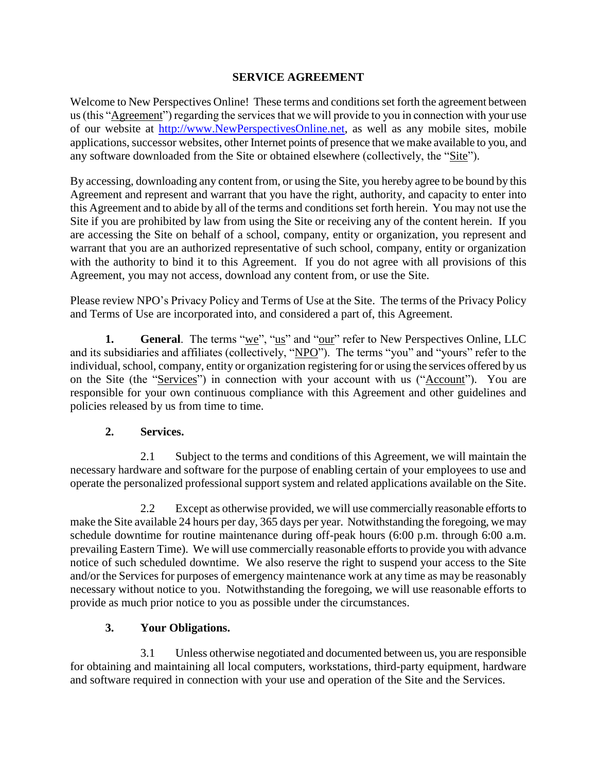### **SERVICE AGREEMENT**

Welcome to New Perspectives Online! These terms and conditions set forth the agreement between us (this "Agreement") regarding the services that we will provide to you in connection with your use of our website at [http://www.NewPerspectivesOnline.net,](http://www.newperspectivesonline.net/) as well as any mobile sites, mobile applications, successor websites, other Internet points of presence that we make available to you, and any software downloaded from the Site or obtained elsewhere (collectively, the "Site").

By accessing, downloading any content from, or using the Site, you hereby agree to be bound by this Agreement and represent and warrant that you have the right, authority, and capacity to enter into this Agreement and to abide by all of the terms and conditions set forth herein. You may not use the Site if you are prohibited by law from using the Site or receiving any of the content herein. If you are accessing the Site on behalf of a school, company, entity or organization, you represent and warrant that you are an authorized representative of such school, company, entity or organization with the authority to bind it to this Agreement. If you do not agree with all provisions of this Agreement, you may not access, download any content from, or use the Site.

Please review NPO's Privacy Policy and Terms of Use at the Site. The terms of the Privacy Policy and Terms of Use are incorporated into, and considered a part of, this Agreement.

**1. General**. The terms "we", "us" and "our" refer to New Perspectives Online, LLC and its subsidiaries and affiliates (collectively, "NPO"). The terms "you" and "yours" refer to the individual, school, company, entity or organization registering for or using the services offered by us on the Site (the "Services") in connection with your account with us ("Account"). You are responsible for your own continuous compliance with this Agreement and other guidelines and policies released by us from time to time.

## **2. Services.**

2.1 Subject to the terms and conditions of this Agreement, we will maintain the necessary hardware and software for the purpose of enabling certain of your employees to use and operate the personalized professional support system and related applications available on the Site.

2.2 Except as otherwise provided, we will use commercially reasonable efforts to make the Site available 24 hours per day, 365 days per year. Notwithstanding the foregoing, we may schedule downtime for routine maintenance during off-peak hours (6:00 p.m. through 6:00 a.m. prevailing Eastern Time). We will use commercially reasonable efforts to provide you with advance notice of such scheduled downtime. We also reserve the right to suspend your access to the Site and/or the Services for purposes of emergency maintenance work at any time as may be reasonably necessary without notice to you. Notwithstanding the foregoing, we will use reasonable efforts to provide as much prior notice to you as possible under the circumstances.

## **3. Your Obligations.**

3.1 Unless otherwise negotiated and documented between us, you are responsible for obtaining and maintaining all local computers, workstations, third-party equipment, hardware and software required in connection with your use and operation of the Site and the Services.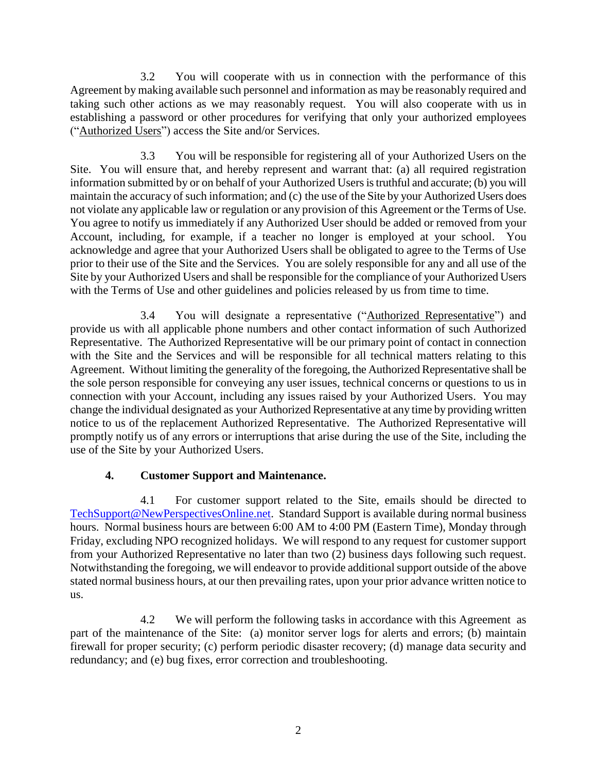3.2 You will cooperate with us in connection with the performance of this Agreement by making available such personnel and information as may be reasonably required and taking such other actions as we may reasonably request. You will also cooperate with us in establishing a password or other procedures for verifying that only your authorized employees ("Authorized Users") access the Site and/or Services.

3.3 You will be responsible for registering all of your Authorized Users on the Site. You will ensure that, and hereby represent and warrant that: (a) all required registration information submitted by or on behalf of your Authorized Users is truthful and accurate; (b) you will maintain the accuracy of such information; and (c) the use of the Site by your Authorized Users does not violate any applicable law or regulation or any provision of this Agreement or the Terms of Use. You agree to notify us immediately if any Authorized User should be added or removed from your Account, including, for example, if a teacher no longer is employed at your school. You acknowledge and agree that your Authorized Users shall be obligated to agree to the Terms of Use prior to their use of the Site and the Services. You are solely responsible for any and all use of the Site by your Authorized Users and shall be responsible for the compliance of your Authorized Users with the Terms of Use and other guidelines and policies released by us from time to time.

3.4 You will designate a representative ("Authorized Representative") and provide us with all applicable phone numbers and other contact information of such Authorized Representative. The Authorized Representative will be our primary point of contact in connection with the Site and the Services and will be responsible for all technical matters relating to this Agreement. Without limiting the generality of the foregoing, the Authorized Representative shall be the sole person responsible for conveying any user issues, technical concerns or questions to us in connection with your Account, including any issues raised by your Authorized Users. You may change the individual designated as your Authorized Representative at any time by providing written notice to us of the replacement Authorized Representative. The Authorized Representative will promptly notify us of any errors or interruptions that arise during the use of the Site, including the use of the Site by your Authorized Users.

# **4. Customer Support and Maintenance.**

4.1 For customer support related to the Site, emails should be directed to [TechSupport@NewPerspectivesOnline.net.](mailto:TechSupport@NewPerspectivesOnline.net) Standard Support is available during normal business hours. Normal business hours are between 6:00 AM to 4:00 PM (Eastern Time), Monday through Friday, excluding NPO recognized holidays. We will respond to any request for customer support from your Authorized Representative no later than two (2) business days following such request. Notwithstanding the foregoing, we will endeavor to provide additional support outside of the above stated normal business hours, at our then prevailing rates, upon your prior advance written notice to us.

4.2 We will perform the following tasks in accordance with this Agreement as part of the maintenance of the Site: (a) monitor server logs for alerts and errors; (b) maintain firewall for proper security; (c) perform periodic disaster recovery; (d) manage data security and redundancy; and (e) bug fixes, error correction and troubleshooting.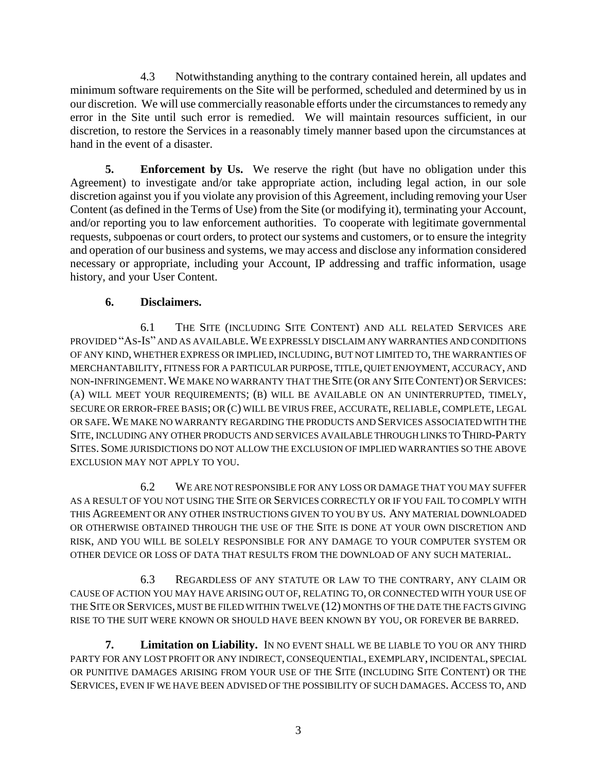4.3 Notwithstanding anything to the contrary contained herein, all updates and minimum software requirements on the Site will be performed, scheduled and determined by us in our discretion.We will use commercially reasonable efforts under the circumstances to remedy any error in the Site until such error is remedied. We will maintain resources sufficient, in our discretion, to restore the Services in a reasonably timely manner based upon the circumstances at hand in the event of a disaster.

**5. Enforcement by Us.** We reserve the right (but have no obligation under this Agreement) to investigate and/or take appropriate action, including legal action, in our sole discretion against you if you violate any provision of this Agreement, including removing your User Content (as defined in the Terms of Use) from the Site (or modifying it), terminating your Account, and/or reporting you to law enforcement authorities. To cooperate with legitimate governmental requests, subpoenas or court orders, to protect our systems and customers, or to ensure the integrity and operation of our business and systems, we may access and disclose any information considered necessary or appropriate, including your Account, IP addressing and traffic information, usage history, and your User Content.

# **6. Disclaimers.**

6.1 THE SITE (INCLUDING SITE CONTENT) AND ALL RELATED SERVICES ARE PROVIDED "AS-IS" AND AS AVAILABLE.WE EXPRESSLY DISCLAIM ANY WARRANTIES AND CONDITIONS OF ANY KIND, WHETHER EXPRESS OR IMPLIED, INCLUDING, BUT NOT LIMITED TO, THE WARRANTIES OF MERCHANTABILITY, FITNESS FOR A PARTICULAR PURPOSE, TITLE, QUIET ENJOYMENT, ACCURACY, AND NON-INFRINGEMENT.WE MAKE NO WARRANTY THAT THE SITE (OR ANY SITE CONTENT) OR SERVICES: (A) WILL MEET YOUR REQUIREMENTS; (B) WILL BE AVAILABLE ON AN UNINTERRUPTED, TIMELY, SECURE OR ERROR-FREE BASIS; OR (C) WILL BE VIRUS FREE, ACCURATE, RELIABLE, COMPLETE, LEGAL OR SAFE.WE MAKE NO WARRANTY REGARDING THE PRODUCTS AND SERVICES ASSOCIATED WITH THE SITE, INCLUDING ANY OTHER PRODUCTS AND SERVICES AVAILABLE THROUGH LINKS TO THIRD-PARTY SITES. SOME JURISDICTIONS DO NOT ALLOW THE EXCLUSION OF IMPLIED WARRANTIES SO THE ABOVE EXCLUSION MAY NOT APPLY TO YOU.

6.2 WE ARE NOT RESPONSIBLE FOR ANY LOSS OR DAMAGE THAT YOU MAY SUFFER AS A RESULT OF YOU NOT USING THE SITE OR SERVICES CORRECTLY OR IF YOU FAIL TO COMPLY WITH THIS AGREEMENT OR ANY OTHER INSTRUCTIONS GIVEN TO YOU BY US. ANY MATERIAL DOWNLOADED OR OTHERWISE OBTAINED THROUGH THE USE OF THE SITE IS DONE AT YOUR OWN DISCRETION AND RISK, AND YOU WILL BE SOLELY RESPONSIBLE FOR ANY DAMAGE TO YOUR COMPUTER SYSTEM OR OTHER DEVICE OR LOSS OF DATA THAT RESULTS FROM THE DOWNLOAD OF ANY SUCH MATERIAL.

6.3 REGARDLESS OF ANY STATUTE OR LAW TO THE CONTRARY, ANY CLAIM OR CAUSE OF ACTION YOU MAY HAVE ARISING OUT OF, RELATING TO, OR CONNECTED WITH YOUR USE OF THE SITE OR SERVICES, MUST BE FILED WITHIN TWELVE (12) MONTHS OF THE DATE THE FACTS GIVING RISE TO THE SUIT WERE KNOWN OR SHOULD HAVE BEEN KNOWN BY YOU, OR FOREVER BE BARRED.

**7. Limitation on Liability.** IN NO EVENT SHALL WE BE LIABLE TO YOU OR ANY THIRD PARTY FOR ANY LOST PROFIT OR ANY INDIRECT, CONSEQUENTIAL, EXEMPLARY, INCIDENTAL, SPECIAL OR PUNITIVE DAMAGES ARISING FROM YOUR USE OF THE SITE (INCLUDING SITE CONTENT) OR THE SERVICES, EVEN IF WE HAVE BEEN ADVISED OF THE POSSIBILITY OF SUCH DAMAGES. ACCESS TO, AND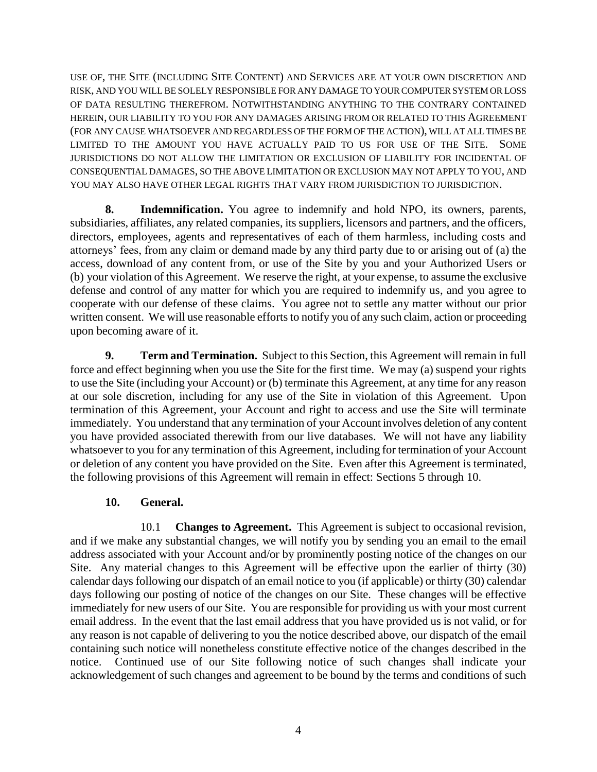USE OF, THE SITE (INCLUDING SITE CONTENT) AND SERVICES ARE AT YOUR OWN DISCRETION AND RISK, AND YOU WILL BE SOLELY RESPONSIBLE FOR ANY DAMAGE TO YOUR COMPUTER SYSTEM OR LOSS OF DATA RESULTING THEREFROM. NOTWITHSTANDING ANYTHING TO THE CONTRARY CONTAINED HEREIN, OUR LIABILITY TO YOU FOR ANY DAMAGES ARISING FROM OR RELATED TO THIS AGREEMENT (FOR ANY CAUSE WHATSOEVER AND REGARDLESS OF THE FORM OF THE ACTION), WILL AT ALL TIMES BE LIMITED TO THE AMOUNT YOU HAVE ACTUALLY PAID TO US FOR USE OF THE SITE. SOME JURISDICTIONS DO NOT ALLOW THE LIMITATION OR EXCLUSION OF LIABILITY FOR INCIDENTAL OF CONSEQUENTIAL DAMAGES, SO THE ABOVE LIMITATION OR EXCLUSION MAY NOT APPLY TO YOU, AND YOU MAY ALSO HAVE OTHER LEGAL RIGHTS THAT VARY FROM JURISDICTION TO JURISDICTION.

**8. Indemnification.** You agree to indemnify and hold NPO, its owners, parents, subsidiaries, affiliates, any related companies, its suppliers, licensors and partners, and the officers, directors, employees, agents and representatives of each of them harmless, including costs and attorneys' fees, from any claim or demand made by any third party due to or arising out of (a) the access, download of any content from, or use of the Site by you and your Authorized Users or (b) your violation of this Agreement. We reserve the right, at your expense, to assume the exclusive defense and control of any matter for which you are required to indemnify us, and you agree to cooperate with our defense of these claims. You agree not to settle any matter without our prior written consent. We will use reasonable efforts to notify you of any such claim, action or proceeding upon becoming aware of it.

**9. Term and Termination.** Subject to this Section, this Agreement will remain in full force and effect beginning when you use the Site for the first time. We may (a) suspend your rights to use the Site (including your Account) or (b) terminate this Agreement, at any time for any reason at our sole discretion, including for any use of the Site in violation of this Agreement. Upon termination of this Agreement, your Account and right to access and use the Site will terminate immediately. You understand that any termination of your Account involves deletion of any content you have provided associated therewith from our live databases. We will not have any liability whatsoever to you for any termination of this Agreement, including for termination of your Account or deletion of any content you have provided on the Site. Even after this Agreement is terminated, the following provisions of this Agreement will remain in effect: Sections 5 through 10.

## **10. General.**

10.1 **Changes to Agreement.** This Agreement is subject to occasional revision, and if we make any substantial changes, we will notify you by sending you an email to the email address associated with your Account and/or by prominently posting notice of the changes on our Site. Any material changes to this Agreement will be effective upon the earlier of thirty (30) calendar days following our dispatch of an email notice to you (if applicable) or thirty (30) calendar days following our posting of notice of the changes on our Site. These changes will be effective immediately for new users of our Site. You are responsible for providing us with your most current email address. In the event that the last email address that you have provided us is not valid, or for any reason is not capable of delivering to you the notice described above, our dispatch of the email containing such notice will nonetheless constitute effective notice of the changes described in the notice. Continued use of our Site following notice of such changes shall indicate your acknowledgement of such changes and agreement to be bound by the terms and conditions of such